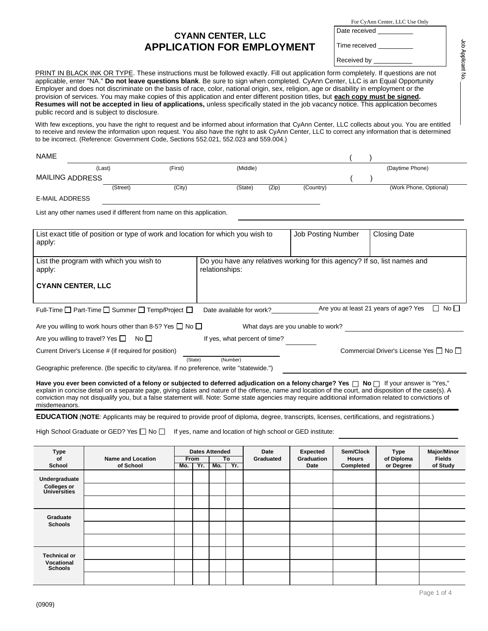## **CYANN CENTER, LLC APPLICATION FOR EMPLOYMENT**

For CyAnn Center, LLC Use Only

Time received

Date received

Received by

PRINT IN BLACK INK OR TYPE. These instructions must be followed exactly. Fill out application form completely. If questions are not applicable, enter "NA." **Do not leave questions blank**. Be sure to sign when completed. CyAnn Center, LLC is an Equal Opportunity Employer and does not discriminate on the basis of race, color, national origin, sex, religion, age or disability in employment or the provision of services. You may make copies of this application and enter different position titles, but **each copy must be signed. Resumes will not be accepted in lieu of applications,** unless specifically stated in the job vacancy notice. This application becomes public record and is subject to disclosure. With few exceptions, you have the right to request and be informed about information that CyAnn Center, LLC collects about you. You are entitled to receive and review the information upon request. You also have the right to ask CyAnn Center, LLC to correct any information that is determined to be incorrect. (Reference: Government Code, Sections 552.021, 552.023 and 559.004.)  $NAME$  ( ) MAILING ADDRESS E-MAIL ADDRESS List any other names used if different from name on this application. List exact title of position or type of work and location for which you wish to apply: Job Posting Number | Closing Date List the program with which you wish to apply: **CYANN CENTER, LLC** Do you have any relatives working for this agency? If so, list names and relationships: Full-Time Part-Time Summer Temp/Project Date available for work? Are you at least 21 years of age? Yes No Are you willing to work hours other than 8-5? Yes  $\Box$  No  $\Box$  What days are you unable to work? Are you willing to travel? Yes  $\Box$  No  $\Box$  If yes, what percent of time? Current Driver's License # (if required for position) Commercial Driver's License Yes  $\Box$  No  $\Box$ (State) (Number) Geographic preference. (Be specific to city/area. If no preference, write "statewide.") **Have you ever been convicted of a felony or subjected to deferred adjudication on a felony charge? Yes □ No □ If your answer is "Yes,"** explain in concise detail on a separate page, giving dates and nature of the offense, name and location of the court, and disposition of the case(s). A conviction may not disqualify you, but a false statement will. Note: Some state agencies may require additional information related to convictions of misdemeanors. **EDUCATION** (**NOTE**: Applicants may be required to provide proof of diploma, degree, transcripts, licenses, certifications, and registrations.) High School Graduate or GED? Yes  $\Box$  No  $\Box$  If yes, name and location of high school or GED institute: **Type Dates Attended Date Expected Sem/Clock Type Major/Minor of Name and Location From To Graduated Graduation Hours of Diploma Fields School of School Mo. Yr. Mo. Yr. Date Completed or Degree of Study Undergraduate Colleges or Universities Graduate Schools** (Last) (First) (Middle) (Daytime Phone) ( ) (Street) (City) (State) (Zip) (Country) (Work Phone, Optional)

**Technical or Vocational Schools**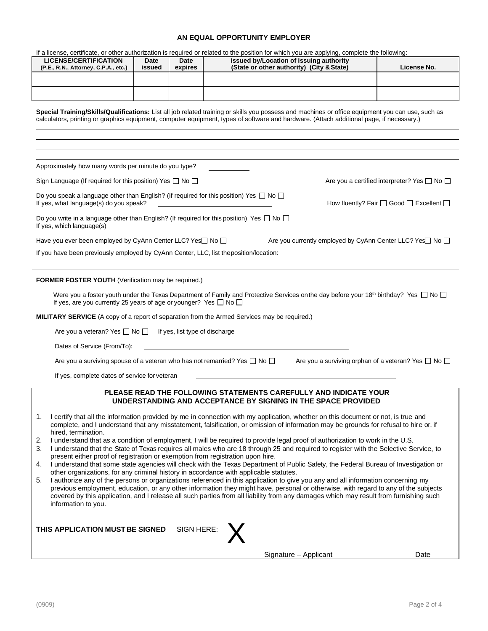## **AN EQUAL OPPORTUNITY EMPLOYER**

|                                                                                                                                                                                                                                                                                               |                                                                                                                                                                                                                                                                                                                                                                                                                                                                                                           |                                                                                                                        | If a license, certificate, or other authorization is required or related to the position for which you are applying, complete the following:                                                                                                                                  |                                                               |  |  |  |  |  |
|-----------------------------------------------------------------------------------------------------------------------------------------------------------------------------------------------------------------------------------------------------------------------------------------------|-----------------------------------------------------------------------------------------------------------------------------------------------------------------------------------------------------------------------------------------------------------------------------------------------------------------------------------------------------------------------------------------------------------------------------------------------------------------------------------------------------------|------------------------------------------------------------------------------------------------------------------------|-------------------------------------------------------------------------------------------------------------------------------------------------------------------------------------------------------------------------------------------------------------------------------|---------------------------------------------------------------|--|--|--|--|--|
| <b>LICENSE/CERTIFICATION</b><br>(P.E., R.N., Attorney, C.P.A., etc.)                                                                                                                                                                                                                          | Date<br>issued                                                                                                                                                                                                                                                                                                                                                                                                                                                                                            | Date<br>expires                                                                                                        | Issued by/Location of issuing authority<br>(State or other authority) (City & State)                                                                                                                                                                                          | License No.                                                   |  |  |  |  |  |
|                                                                                                                                                                                                                                                                                               |                                                                                                                                                                                                                                                                                                                                                                                                                                                                                                           |                                                                                                                        |                                                                                                                                                                                                                                                                               |                                                               |  |  |  |  |  |
|                                                                                                                                                                                                                                                                                               |                                                                                                                                                                                                                                                                                                                                                                                                                                                                                                           |                                                                                                                        |                                                                                                                                                                                                                                                                               |                                                               |  |  |  |  |  |
| Special Training/Skills/Qualifications: List all job related training or skills you possess and machines or office equipment you can use, such as<br>calculators, printing or graphics equipment, computer equipment, types of software and hardware. (Attach additional page, if necessary.) |                                                                                                                                                                                                                                                                                                                                                                                                                                                                                                           |                                                                                                                        |                                                                                                                                                                                                                                                                               |                                                               |  |  |  |  |  |
|                                                                                                                                                                                                                                                                                               |                                                                                                                                                                                                                                                                                                                                                                                                                                                                                                           |                                                                                                                        |                                                                                                                                                                                                                                                                               |                                                               |  |  |  |  |  |
|                                                                                                                                                                                                                                                                                               |                                                                                                                                                                                                                                                                                                                                                                                                                                                                                                           |                                                                                                                        |                                                                                                                                                                                                                                                                               |                                                               |  |  |  |  |  |
| Approximately how many words per minute do you type?                                                                                                                                                                                                                                          |                                                                                                                                                                                                                                                                                                                                                                                                                                                                                                           |                                                                                                                        |                                                                                                                                                                                                                                                                               |                                                               |  |  |  |  |  |
| Sign Language (If required for this position) Yes $\Box$ No $\Box$                                                                                                                                                                                                                            |                                                                                                                                                                                                                                                                                                                                                                                                                                                                                                           |                                                                                                                        |                                                                                                                                                                                                                                                                               | Are you a certified interpreter? Yes $\Box$ No $\Box$         |  |  |  |  |  |
| Do you speak a language other than English? (If required for this position) Yes $\Box$ No $\Box$<br>If yes, what language(s) do you speak?                                                                                                                                                    |                                                                                                                                                                                                                                                                                                                                                                                                                                                                                                           |                                                                                                                        |                                                                                                                                                                                                                                                                               | How fluently? Fair $\Box$ Good $\Box$ Excellent $\Box$        |  |  |  |  |  |
| Do you write in a language other than English? (If required for this position) Yes $\Box$ No $\Box$<br>If yes, which language(s)                                                                                                                                                              |                                                                                                                                                                                                                                                                                                                                                                                                                                                                                                           | <u> 1989 - John Stein, mars and de Branch and de Branch and de Branch and de Branch and de Branch and de Branch an</u> |                                                                                                                                                                                                                                                                               |                                                               |  |  |  |  |  |
| Have you ever been employed by CyAnn Center LLC? Yes□ No □                                                                                                                                                                                                                                    |                                                                                                                                                                                                                                                                                                                                                                                                                                                                                                           |                                                                                                                        |                                                                                                                                                                                                                                                                               | Are you currently employed by CyAnn Center LLC? Yes No        |  |  |  |  |  |
| If you have been previously employed by CyAnn Center, LLC, list theposition/location:                                                                                                                                                                                                         |                                                                                                                                                                                                                                                                                                                                                                                                                                                                                                           |                                                                                                                        |                                                                                                                                                                                                                                                                               |                                                               |  |  |  |  |  |
| FORMER FOSTER YOUTH (Verification may be required.)                                                                                                                                                                                                                                           |                                                                                                                                                                                                                                                                                                                                                                                                                                                                                                           |                                                                                                                        |                                                                                                                                                                                                                                                                               |                                                               |  |  |  |  |  |
| If yes, are you currently 25 years of age or younger? Yes $\Box$ No $\Box$                                                                                                                                                                                                                    |                                                                                                                                                                                                                                                                                                                                                                                                                                                                                                           |                                                                                                                        | Were you a foster youth under the Texas Department of Family and Protective Services on the day before your 18 <sup>th</sup> birthday? Yes $\Box$ No $\Box$                                                                                                                   |                                                               |  |  |  |  |  |
|                                                                                                                                                                                                                                                                                               |                                                                                                                                                                                                                                                                                                                                                                                                                                                                                                           |                                                                                                                        | <b>MILITARY SERVICE</b> (A copy of a report of separation from the Armed Services may be required.)                                                                                                                                                                           |                                                               |  |  |  |  |  |
| Are you a veteran? Yes $\Box$ No $\Box$                                                                                                                                                                                                                                                       |                                                                                                                                                                                                                                                                                                                                                                                                                                                                                                           | If yes, list type of discharge                                                                                         |                                                                                                                                                                                                                                                                               |                                                               |  |  |  |  |  |
| Dates of Service (From/To):                                                                                                                                                                                                                                                                   |                                                                                                                                                                                                                                                                                                                                                                                                                                                                                                           |                                                                                                                        |                                                                                                                                                                                                                                                                               |                                                               |  |  |  |  |  |
| Are you a surviving spouse of a veteran who has not remarried? Yes $\Box$ No $\Box$                                                                                                                                                                                                           |                                                                                                                                                                                                                                                                                                                                                                                                                                                                                                           |                                                                                                                        |                                                                                                                                                                                                                                                                               | Are you a surviving orphan of a veteran? Yes $\Box$ No $\Box$ |  |  |  |  |  |
| If yes, complete dates of service for veteran                                                                                                                                                                                                                                                 |                                                                                                                                                                                                                                                                                                                                                                                                                                                                                                           |                                                                                                                        |                                                                                                                                                                                                                                                                               |                                                               |  |  |  |  |  |
|                                                                                                                                                                                                                                                                                               |                                                                                                                                                                                                                                                                                                                                                                                                                                                                                                           |                                                                                                                        | PLEASE READ THE FOLLOWING STATEMENTS CAREFULLY AND INDICATE YOUR<br>UNDERSTANDING AND ACCEPTANCE BY SIGNING IN THE SPACE PROVIDED                                                                                                                                             |                                                               |  |  |  |  |  |
| hired, termination.                                                                                                                                                                                                                                                                           |                                                                                                                                                                                                                                                                                                                                                                                                                                                                                                           |                                                                                                                        | 1. I certify that all the information provided by me in connection with my application, whether on this document or not, is true and<br>complete, and I understand that any misstatement, falsification, or omission of information may be grounds for refusal to hire or, if |                                                               |  |  |  |  |  |
| I understand that as a condition of employment, I will be required to provide legal proof of authorization to work in the U.S.<br>2.<br>3.<br>I understand that the State of Texas requires all males who are 18 through 25 and required to register with the Selective Service, to           |                                                                                                                                                                                                                                                                                                                                                                                                                                                                                                           |                                                                                                                        |                                                                                                                                                                                                                                                                               |                                                               |  |  |  |  |  |
| present either proof of registration or exemption from registration upon hire.<br>I understand that some state agencies will check with the Texas Department of Public Safety, the Federal Bureau of Investigation or<br>4.                                                                   |                                                                                                                                                                                                                                                                                                                                                                                                                                                                                                           |                                                                                                                        |                                                                                                                                                                                                                                                                               |                                                               |  |  |  |  |  |
| 5.<br>information to you.                                                                                                                                                                                                                                                                     | other organizations, for any criminal history in accordance with applicable statutes.<br>I authorize any of the persons or organizations referenced in this application to give you any and all information concerning my<br>previous employment, education, or any other information they might have, personal or otherwise, with regard to any of the subjects<br>covered by this application, and I release all such parties from all liability from any damages which may result from furnishing such |                                                                                                                        |                                                                                                                                                                                                                                                                               |                                                               |  |  |  |  |  |
| SIGN HERE:<br>THIS APPLICATION MUST BE SIGNED                                                                                                                                                                                                                                                 |                                                                                                                                                                                                                                                                                                                                                                                                                                                                                                           |                                                                                                                        |                                                                                                                                                                                                                                                                               |                                                               |  |  |  |  |  |
|                                                                                                                                                                                                                                                                                               |                                                                                                                                                                                                                                                                                                                                                                                                                                                                                                           |                                                                                                                        | Signature - Applicant                                                                                                                                                                                                                                                         | Date                                                          |  |  |  |  |  |
|                                                                                                                                                                                                                                                                                               |                                                                                                                                                                                                                                                                                                                                                                                                                                                                                                           |                                                                                                                        |                                                                                                                                                                                                                                                                               |                                                               |  |  |  |  |  |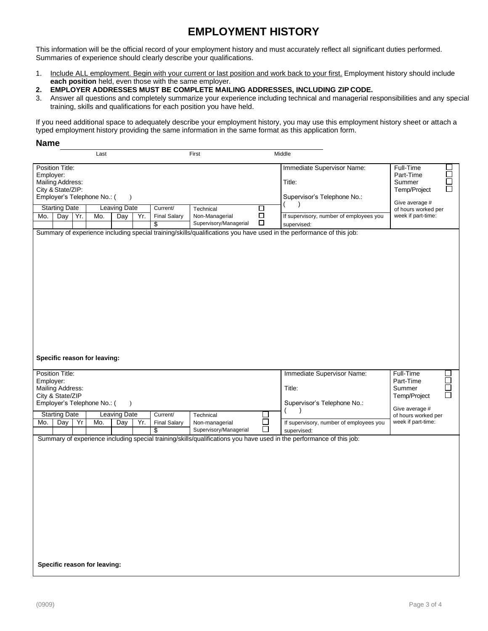## **EMPLOYMENT HISTORY**

This information will be the official record of your employment history and must accurately reflect all significant duties performed. Summaries of experience should clearly describe your qualifications.

- 1. Include ALL employment. Begin with your current or last position and work back to your first. Employment history should include **each position** held, even those with the same employer.
- **2. EMPLOYER ADDRESSES MUST BE COMPLETE MAILING ADDRESSES, INCLUDING ZIP CODE.**
- 3. Answer all questions and completely summarize your experience including technical and managerial responsibilities and any special training, skills and qualifications for each position you have held.

If you need additional space to adequately describe your employment history, you may use this employment history sheet or attach a typed employment history providing the same information in the same format as this application form.

## **Name**

| Last                                                                                                                                |     |     |     | First                                   |     | Middle                               |                                                                     |                                                                                |                                                                                                                                                                                                                                                       |                                                                                                                           |
|-------------------------------------------------------------------------------------------------------------------------------------|-----|-----|-----|-----------------------------------------|-----|--------------------------------------|---------------------------------------------------------------------|--------------------------------------------------------------------------------|-------------------------------------------------------------------------------------------------------------------------------------------------------------------------------------------------------------------------------------------------------|---------------------------------------------------------------------------------------------------------------------------|
| Position Title:<br>Employer:<br>Mailing Address:<br>City & State/ZIP:<br>Employer's Telephone No.: (<br><b>Starting Date</b><br>Mo. | Day | Yr. | Mo. | $\lambda$<br><b>Leaving Date</b><br>Day | Yr. | Current/<br><b>Final Salary</b><br>S | Technical<br>Non-Managerial<br>Supervisory/Managerial               | □<br>$\Box$<br>$\Box$                                                          | Immediate Supervisor Name:<br>Title:<br>Supervisor's Telephone No.:<br>If supervisory, number of employees you<br>supervised:<br>Summary of experience including special training/skills/qualifications you have used in the performance of this job: | Full-Time<br>Part-Time<br>□<br>Summer<br>П<br>Temp/Project<br>Give average #<br>of hours worked per<br>week if part-time: |
| Specific reason for leaving:<br>Position Title:<br>Employer:<br><b>Mailing Address:</b><br>City & State/ZIP                         |     |     |     |                                         |     |                                      | Immediate Supervisor Name:<br>Title:<br>Supervisor's Telephone No.: | Full-Time<br>$\overline{\Xi}$<br>Part-Time<br>Summer<br>$\Box$<br>Temp/Project |                                                                                                                                                                                                                                                       |                                                                                                                           |
| Employer's Telephone No.: (                                                                                                         |     |     |     | $\lambda$                               |     |                                      |                                                                     |                                                                                | (<br>$\lambda$                                                                                                                                                                                                                                        | Give average #                                                                                                            |
| <b>Starting Date</b>                                                                                                                |     |     | Mo. | <b>Leaving Date</b>                     |     | Current/                             | Technical                                                           | $\Box$                                                                         |                                                                                                                                                                                                                                                       | of hours worked per<br>week if part-time:                                                                                 |
| Mo.                                                                                                                                 | Day | Yr  |     | Day                                     | Yr. | <b>Final Salary</b><br>\$            | Non-managerial<br>Supervisory/Managerial                            | $\Box$                                                                         | If supervisory, number of employees you<br>supervised:                                                                                                                                                                                                |                                                                                                                           |
|                                                                                                                                     |     |     |     |                                         |     |                                      |                                                                     |                                                                                | Summary of experience including special training/skills/qualifications you have used in the performance of this job:                                                                                                                                  |                                                                                                                           |
| Specific reason for leaving:                                                                                                        |     |     |     |                                         |     |                                      |                                                                     |                                                                                |                                                                                                                                                                                                                                                       |                                                                                                                           |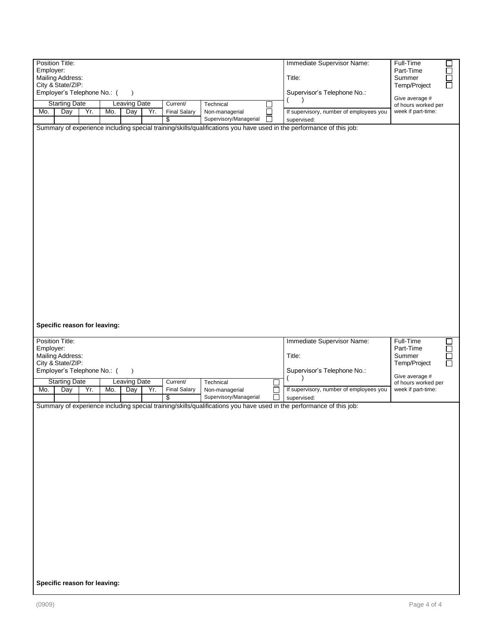| Position Title:<br>Employer:<br>Mailing Address:<br>City & State/ZIP:<br>Employer's Telephone No.: (<br>$\lambda$                                                                                                                             | Immediate Supervisor Name:<br>Title:<br>Supervisor's Telephone No.:                        | Full-Time<br>$\Box$<br>Ŏ<br>Part-Time<br>Summer<br>Temp/Project<br>Give average # |
|-----------------------------------------------------------------------------------------------------------------------------------------------------------------------------------------------------------------------------------------------|--------------------------------------------------------------------------------------------|-----------------------------------------------------------------------------------|
| <b>Starting Date</b><br><b>Leaving Date</b><br>Current/<br>Technical<br>$\Box$<br>Yr.<br>Yr.<br>Mo.<br>Day<br>Mo.<br>Day<br><b>Final Salary</b><br>Non-managerial<br>Supervisory/Managerial<br>ΙI<br>\$                                       | If supervisory, number of employees you<br>supervised:                                     | of hours worked per<br>week if part-time:                                         |
| Summary of experience including special training/skills/qualifications you have used in the performance of this job:                                                                                                                          |                                                                                            |                                                                                   |
| Specific reason for leaving:<br>Position Title:                                                                                                                                                                                               | Immediate Supervisor Name:                                                                 | Full-Time                                                                         |
| Employer:<br>Mailing Address:<br>City & State/ZIP:                                                                                                                                                                                            | Title:                                                                                     | DODO<br>Part-Time<br>Summer<br>Temp/Project                                       |
| Employer's Telephone No.: (<br>$\lambda$<br><b>Leaving Date</b><br>Current/<br><b>Starting Date</b><br>Technical<br>$\Box$<br>Mo.<br>Day<br>Yr.<br>Mo.<br>Day<br>Yr.<br><b>Final Salary</b><br>Non-managerial<br>Supervisory/Managerial<br>\$ | Supervisor's Telephone No.:<br>If supervisory, number of employees you<br>П<br>supervised: | Give average #<br>of hours worked per<br>week if part-time:                       |
| Summary of experience including special training/skills/qualifications you have used in the performance of this job:<br>Specific reason for leaving:                                                                                          |                                                                                            |                                                                                   |